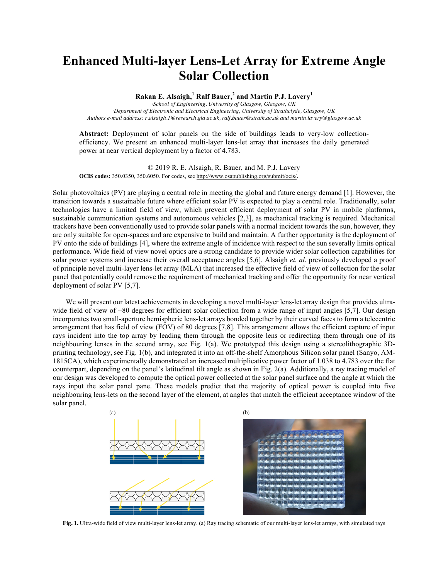## **Enhanced Multi-layer Lens-Let Array for Extreme Angle Solar Collection**

**Rakan E. Alsaigh,<sup>1</sup> Ralf Bauer,<sup>2</sup> and Martin P.J. Lavery<sup>1</sup>**

*1 School of Engineering, University of Glasgow, Glasgow, UK 2 Department of Electronic and Electrical Engineering, University of Strathclyde, Glasgow, UK Authors e-mail address: r.alsaigh.1@research.gla.ac.uk, ralf.bauer@strath.ac.uk and martin.lavery@glasgow.ac.uk*

**Abstract:** Deployment of solar panels on the side of buildings leads to very-low collectionefficiency. We present an enhanced multi-layer lens-let array that increases the daily generated power at near vertical deployment by a factor of 4.783.

© 2019 R. E. Alsaigh, R. Bauer, and M. P.J. Lavery **OCIS codes:** 350.0350, 350.6050. For codes, see http://www.osapublishing.org/submit/ocis/.

Solar photovoltaics (PV) are playing a central role in meeting the global and future energy demand [1]. However, the transition towards a sustainable future where efficient solar PV is expected to play a central role. Traditionally, solar technologies have a limited field of view, which prevent efficient deployment of solar PV in mobile platforms, sustainable communication systems and autonomous vehicles [2,3], as mechanical tracking is required. Mechanical trackers have been conventionally used to provide solar panels with a normal incident towards the sun, however, they are only suitable for open-spaces and are expensive to build and maintain. A further opportunity is the deployment of PV onto the side of buildings [4], where the extreme angle of incidence with respect to the sun severally limits optical performance. Wide field of view novel optics are a strong candidate to provide wider solar collection capabilities for solar power systems and increase their overall acceptance angles [5,6]. Alsaigh *et. al*. previously developed a proof of principle novel multi-layer lens-let array (MLA) that increased the effective field of view of collection for the solar panel that potentially could remove the requirement of mechanical tracking and offer the opportunity for near vertical deployment of solar PV [5,7].

We will present our latest achievements in developing a novel multi-layer lens-let array design that provides ultrawide field of view of  $\pm 80$  degrees for efficient solar collection from a wide range of input angles [5,7]. Our design incorporates two small-aperture hemispheric lens-let arrays bonded together by their curved faces to form a telecentric arrangement that has field of view (FOV) of 80 degrees [7,8]. This arrangement allows the efficient capture of input rays incident into the top array by leading them through the opposite lens or redirecting them through one of its neighbouring lenses in the second array, see Fig. 1(a). We prototyped this design using a stereolithographic 3Dprinting technology, see Fig. 1(b), and integrated it into an off-the-shelf Amorphous Silicon solar panel (Sanyo, AM-1815CA), which experimentally demonstrated an increased multiplicative power factor of 1.038 to 4.783 over the flat counterpart, depending on the panel's latitudinal tilt angle as shown in Fig. 2(a). Additionally, a ray tracing model of our design was developed to compute the optical power collected at the solar panel surface and the angle at which the rays input the solar panel pane. These models predict that the majority of optical power is coupled into five neighbouring lens-lets on the second layer of the element, at angles that match the efficient acceptance window of the solar panel.



**Fig. 1.** Ultra-wide field of view multi-layer lens-let array. (a) Ray tracing schematic of our multi-layer lens-let arrays, with simulated rays